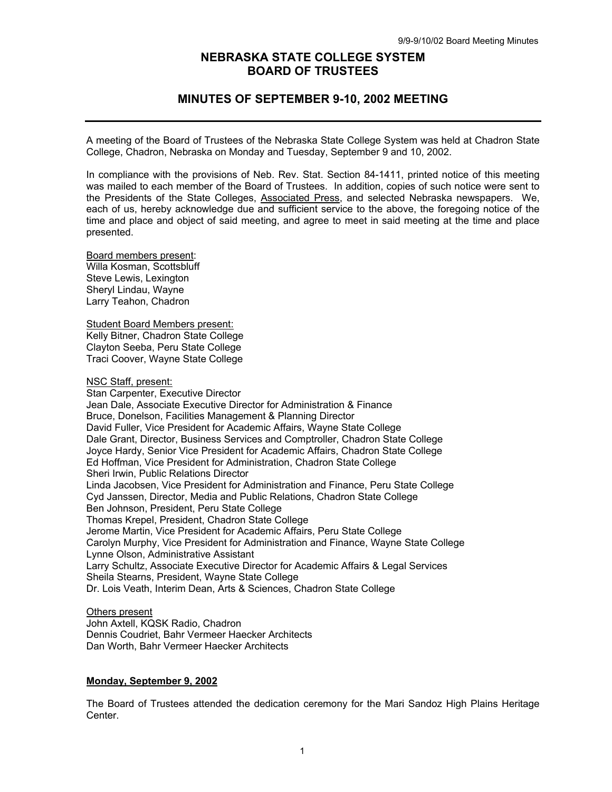# **NEBRASKA STATE COLLEGE SYSTEM BOARD OF TRUSTEES**

# **MINUTES OF SEPTEMBER 9-10, 2002 MEETING**

A meeting of the Board of Trustees of the Nebraska State College System was held at Chadron State College, Chadron, Nebraska on Monday and Tuesday, September 9 and 10, 2002.

In compliance with the provisions of Neb. Rev. Stat. Section 84-1411, printed notice of this meeting was mailed to each member of the Board of Trustees. In addition, copies of such notice were sent to the Presidents of the State Colleges, Associated Press, and selected Nebraska newspapers. We, each of us, hereby acknowledge due and sufficient service to the above, the foregoing notice of the time and place and object of said meeting, and agree to meet in said meeting at the time and place presented.

Board members present: Willa Kosman, Scottsbluff Steve Lewis, Lexington Sheryl Lindau, Wayne Larry Teahon, Chadron

Student Board Members present: Kelly Bitner, Chadron State College Clayton Seeba, Peru State College Traci Coover, Wayne State College

NSC Staff, present:

Stan Carpenter, Executive Director Jean Dale, Associate Executive Director for Administration & Finance Bruce, Donelson, Facilities Management & Planning Director David Fuller, Vice President for Academic Affairs, Wayne State College Dale Grant, Director, Business Services and Comptroller, Chadron State College Joyce Hardy, Senior Vice President for Academic Affairs, Chadron State College Ed Hoffman, Vice President for Administration, Chadron State College Sheri Irwin, Public Relations Director Linda Jacobsen, Vice President for Administration and Finance, Peru State College Cyd Janssen, Director, Media and Public Relations, Chadron State College Ben Johnson, President, Peru State College Thomas Krepel, President, Chadron State College Jerome Martin, Vice President for Academic Affairs, Peru State College Carolyn Murphy, Vice President for Administration and Finance, Wayne State College Lynne Olson, Administrative Assistant Larry Schultz, Associate Executive Director for Academic Affairs & Legal Services Sheila Stearns, President, Wayne State College Dr. Lois Veath, Interim Dean, Arts & Sciences, Chadron State College

### Others present

John Axtell, KQSK Radio, Chadron Dennis Coudriet, Bahr Vermeer Haecker Architects Dan Worth, Bahr Vermeer Haecker Architects

### **Monday, September 9, 2002**

The Board of Trustees attended the dedication ceremony for the Mari Sandoz High Plains Heritage Center.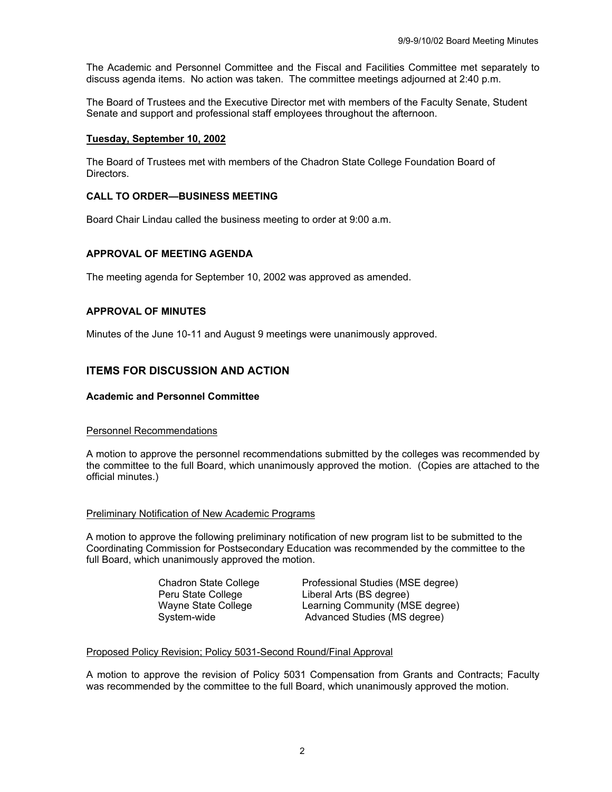The Academic and Personnel Committee and the Fiscal and Facilities Committee met separately to discuss agenda items. No action was taken. The committee meetings adjourned at 2:40 p.m.

The Board of Trustees and the Executive Director met with members of the Faculty Senate, Student Senate and support and professional staff employees throughout the afternoon.

### **Tuesday, September 10, 2002**

The Board of Trustees met with members of the Chadron State College Foundation Board of Directors.

### **CALL TO ORDER—BUSINESS MEETING**

Board Chair Lindau called the business meeting to order at 9:00 a.m.

## **APPROVAL OF MEETING AGENDA**

The meeting agenda for September 10, 2002 was approved as amended.

## **APPROVAL OF MINUTES**

Minutes of the June 10-11 and August 9 meetings were unanimously approved.

# **ITEMS FOR DISCUSSION AND ACTION**

### **Academic and Personnel Committee**

### Personnel Recommendations

A motion to approve the personnel recommendations submitted by the colleges was recommended by the committee to the full Board, which unanimously approved the motion. (Copies are attached to the official minutes.)

### Preliminary Notification of New Academic Programs

A motion to approve the following preliminary notification of new program list to be submitted to the Coordinating Commission for Postsecondary Education was recommended by the committee to the full Board, which unanimously approved the motion.

 Chadron State College Professional Studies (MSE degree) Peru State College Liberal Arts (BS degree) Wayne State College Learning Community (MSE degree) System-wide **Advanced Studies** (MS degree)

### Proposed Policy Revision; Policy 5031-Second Round/Final Approval

A motion to approve the revision of Policy 5031 Compensation from Grants and Contracts; Faculty was recommended by the committee to the full Board, which unanimously approved the motion.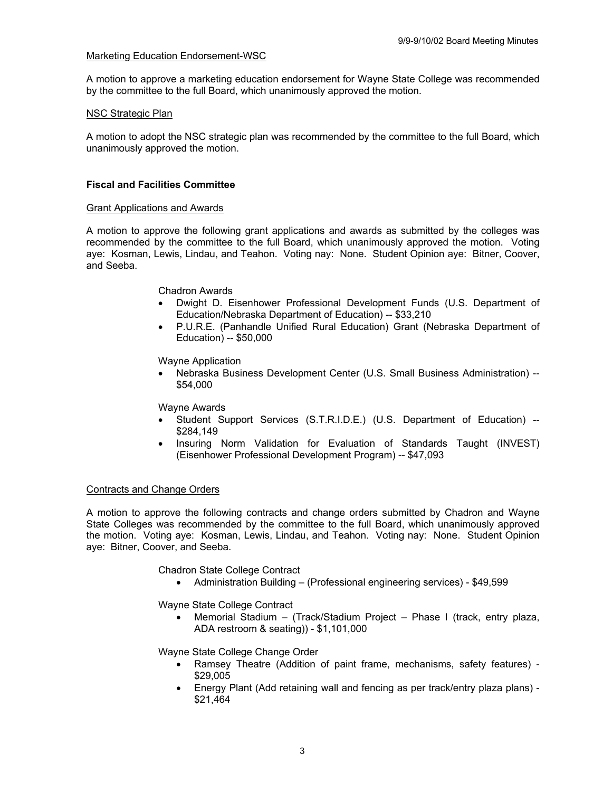## Marketing Education Endorsement-WSC

A motion to approve a marketing education endorsement for Wayne State College was recommended by the committee to the full Board, which unanimously approved the motion.

### NSC Strategic Plan

A motion to adopt the NSC strategic plan was recommended by the committee to the full Board, which unanimously approved the motion.

### **Fiscal and Facilities Committee**

#### Grant Applications and Awards

A motion to approve the following grant applications and awards as submitted by the colleges was recommended by the committee to the full Board, which unanimously approved the motion. Voting aye: Kosman, Lewis, Lindau, and Teahon. Voting nay: None. Student Opinion aye: Bitner, Coover, and Seeba.

### Chadron Awards

- Dwight D. Eisenhower Professional Development Funds (U.S. Department of Education/Nebraska Department of Education) -- \$33,210
- P.U.R.E. (Panhandle Unified Rural Education) Grant (Nebraska Department of Education) -- \$50,000

Wayne Application

• Nebraska Business Development Center (U.S. Small Business Administration) -- \$54,000

Wayne Awards

- Student Support Services (S.T.R.I.D.E.) (U.S. Department of Education) -- \$284,149
- Insuring Norm Validation for Evaluation of Standards Taught (INVEST) (Eisenhower Professional Development Program) -- \$47,093

### Contracts and Change Orders

A motion to approve the following contracts and change orders submitted by Chadron and Wayne State Colleges was recommended by the committee to the full Board, which unanimously approved the motion. Voting aye: Kosman, Lewis, Lindau, and Teahon. Voting nay: None. Student Opinion aye: Bitner, Coover, and Seeba.

Chadron State College Contract

• Administration Building – (Professional engineering services) - \$49,599

Wayne State College Contract

• Memorial Stadium – (Track/Stadium Project – Phase I (track, entry plaza, ADA restroom & seating)) - \$1,101,000

Wayne State College Change Order

- Ramsey Theatre (Addition of paint frame, mechanisms, safety features) \$29,005
- Energy Plant (Add retaining wall and fencing as per track/entry plaza plans) \$21,464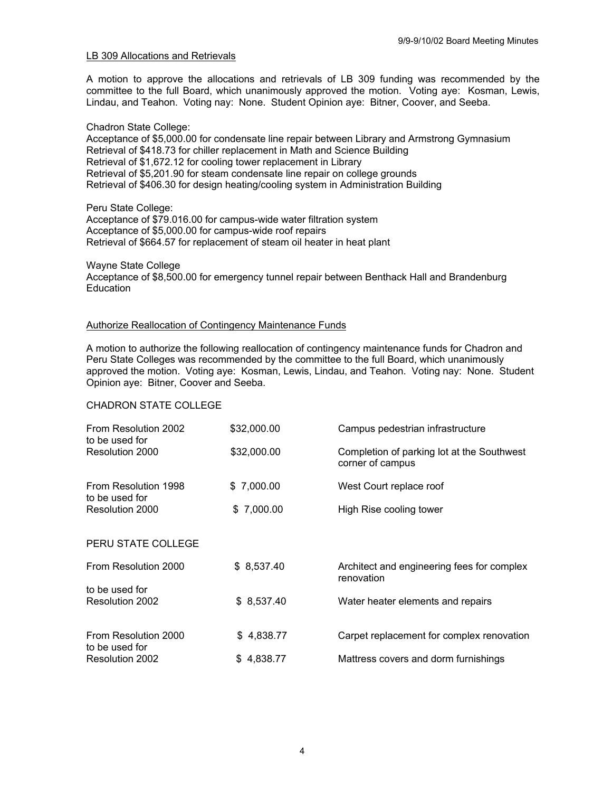### LB 309 Allocations and Retrievals

A motion to approve the allocations and retrievals of LB 309 funding was recommended by the committee to the full Board, which unanimously approved the motion. Voting aye: Kosman, Lewis, Lindau, and Teahon. Voting nay: None. Student Opinion aye: Bitner, Coover, and Seeba.

### Chadron State College:

Acceptance of \$5,000.00 for condensate line repair between Library and Armstrong Gymnasium Retrieval of \$418.73 for chiller replacement in Math and Science Building Retrieval of \$1,672.12 for cooling tower replacement in Library Retrieval of \$5,201.90 for steam condensate line repair on college grounds Retrieval of \$406.30 for design heating/cooling system in Administration Building

### Peru State College:

Acceptance of \$79.016.00 for campus-wide water filtration system Acceptance of \$5,000.00 for campus-wide roof repairs Retrieval of \$664.57 for replacement of steam oil heater in heat plant

Wayne State College Acceptance of \$8,500.00 for emergency tunnel repair between Benthack Hall and Brandenburg **Education** 

## Authorize Reallocation of Contingency Maintenance Funds

A motion to authorize the following reallocation of contingency maintenance funds for Chadron and Peru State Colleges was recommended by the committee to the full Board, which unanimously approved the motion. Voting aye: Kosman, Lewis, Lindau, and Teahon. Voting nay: None. Student Opinion aye: Bitner, Coover and Seeba.

## CHADRON STATE COLLEGE

| From Resolution 2002<br>to be used for | \$32,000.00 | Campus pedestrian infrastructure                               |  |
|----------------------------------------|-------------|----------------------------------------------------------------|--|
| Resolution 2000                        | \$32,000.00 | Completion of parking lot at the Southwest<br>corner of campus |  |
| From Resolution 1998<br>to be used for | \$7,000.00  | West Court replace roof                                        |  |
| Resolution 2000                        | \$7,000.00  | High Rise cooling tower                                        |  |
| PERU STATE COLLEGE                     |             |                                                                |  |
| From Resolution 2000                   | \$8,537.40  | Architect and engineering fees for complex<br>renovation       |  |
| to be used for<br>Resolution 2002      | \$8,537.40  | Water heater elements and repairs                              |  |
| From Resolution 2000                   | \$4,838.77  | Carpet replacement for complex renovation                      |  |
| to be used for                         |             |                                                                |  |
| Resolution 2002                        | \$4,838.77  | Mattress covers and dorm furnishings                           |  |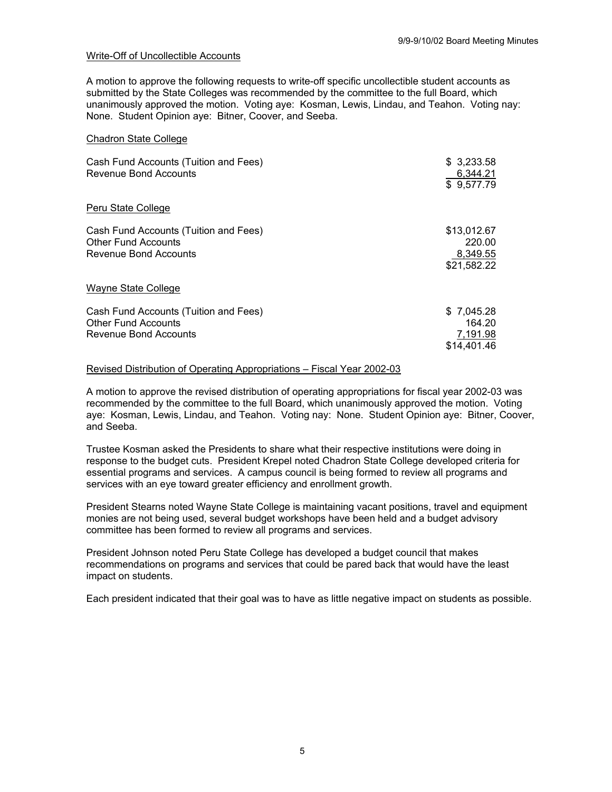#### Write-Off of Uncollectible Accounts

A motion to approve the following requests to write-off specific uncollectible student accounts as submitted by the State Colleges was recommended by the committee to the full Board, which unanimously approved the motion. Voting aye: Kosman, Lewis, Lindau, and Teahon. Voting nay: None. Student Opinion aye: Bitner, Coover, and Seeba.

#### Chadron State College

| Cash Fund Accounts (Tuition and Fees)<br>Revenue Bond Accounts                               | \$ 3,233.58<br>6,344.21<br>\$9,577.79            |
|----------------------------------------------------------------------------------------------|--------------------------------------------------|
| Peru State College                                                                           |                                                  |
| Cash Fund Accounts (Tuition and Fees)<br><b>Other Fund Accounts</b><br>Revenue Bond Accounts | \$13,012.67<br>220.00<br>8,349.55<br>\$21,582.22 |
| Wayne State College                                                                          |                                                  |
| Cash Fund Accounts (Tuition and Fees)<br><b>Other Fund Accounts</b><br>Revenue Bond Accounts | \$7,045.28<br>164.20<br>7,191.98<br>\$14,401.46  |

#### Revised Distribution of Operating Appropriations – Fiscal Year 2002-03

A motion to approve the revised distribution of operating appropriations for fiscal year 2002-03 was recommended by the committee to the full Board, which unanimously approved the motion. Voting aye: Kosman, Lewis, Lindau, and Teahon. Voting nay: None. Student Opinion aye: Bitner, Coover, and Seeba.

Trustee Kosman asked the Presidents to share what their respective institutions were doing in response to the budget cuts. President Krepel noted Chadron State College developed criteria for essential programs and services. A campus council is being formed to review all programs and services with an eye toward greater efficiency and enrollment growth.

President Stearns noted Wayne State College is maintaining vacant positions, travel and equipment monies are not being used, several budget workshops have been held and a budget advisory committee has been formed to review all programs and services.

President Johnson noted Peru State College has developed a budget council that makes recommendations on programs and services that could be pared back that would have the least impact on students.

Each president indicated that their goal was to have as little negative impact on students as possible.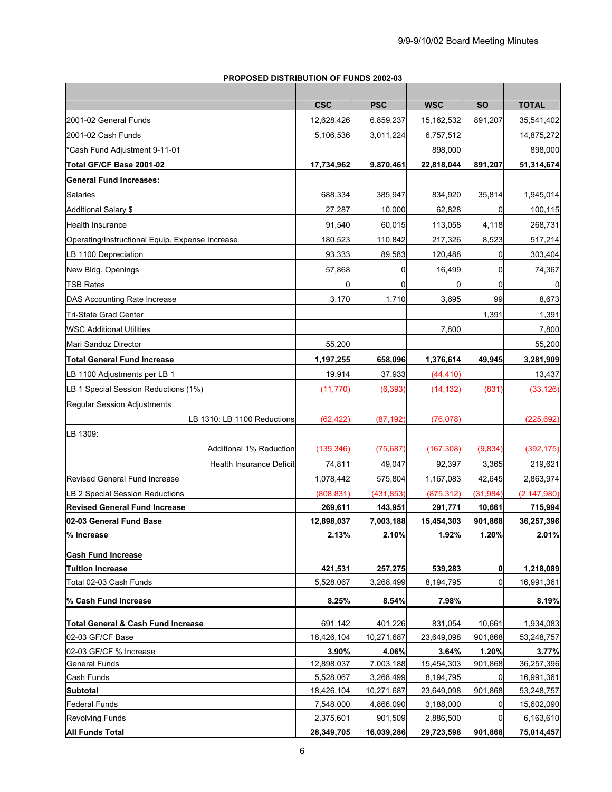# **PROPOSED DISTRIBUTION OF FUNDS 2002-03**

|                                                 | <b>CSC</b> | <b>PSC</b> | <b>WSC</b>   | <b>SO</b>   | <b>TOTAL</b>  |
|-------------------------------------------------|------------|------------|--------------|-------------|---------------|
| 2001-02 General Funds                           | 12,628,426 | 6,859,237  | 15, 162, 532 | 891,207     | 35,541,402    |
| 2001-02 Cash Funds                              | 5,106,536  | 3,011,224  | 6,757,512    |             | 14,875,272    |
| *Cash Fund Adjustment 9-11-01                   |            |            | 898,000      |             | 898,000       |
| Total GF/CF Base 2001-02                        | 17,734,962 | 9,870,461  | 22,818,044   | 891,207     | 51,314,674    |
| <b>General Fund Increases:</b>                  |            |            |              |             |               |
| Salaries                                        | 688,334    | 385,947    | 834,920      | 35,814      | 1,945,014     |
| <b>Additional Salary \$</b>                     | 27,287     | 10,000     | 62,828       | 0           | 100,115       |
| <b>Health Insurance</b>                         | 91,540     | 60,015     | 113,058      | 4,118       | 268,731       |
| Operating/Instructional Equip. Expense Increase | 180,523    | 110,842    | 217,326      | 8,523       | 517,214       |
| LB 1100 Depreciation                            | 93,333     | 89,583     | 120,488      | 0           | 303,404       |
| New Bldg. Openings                              | 57,868     | 0          | 16,499       | 0           | 74,367        |
| <b>TSB Rates</b>                                | 0          | 0          | 0            | 0           |               |
| DAS Accounting Rate Increase                    | 3,170      | 1,710      | 3,695        | 99          | 8,673         |
| Tri-State Grad Center                           |            |            |              | 1,391       | 1,391         |
| <b>WSC Additional Utilities</b>                 |            |            | 7,800        |             | 7,800         |
| Mari Sandoz Director                            | 55,200     |            |              |             | 55,200        |
| <b>Total General Fund Increase</b>              | 1,197,255  | 658,096    | 1,376,614    | 49,945      | 3,281,909     |
| LB 1100 Adjustments per LB 1                    | 19,914     | 37,933     | (44, 410)    |             | 13,437        |
| LB 1 Special Session Reductions (1%)            | (11, 770)  | (6, 393)   | (14, 132)    | (831)       | (33, 126)     |
| Regular Session Adjustments                     |            |            |              |             |               |
| LB 1310: LB 1100 Reductions                     | (62, 422)  | (87, 192)  | (76, 078)    |             | (225, 692)    |
| LB 1309:                                        |            |            |              |             |               |
| Additional 1% Reduction                         | (139, 346) | (75, 687)  | (167, 308)   | (9,834)     | (392, 175)    |
| Health Insurance Deficit                        | 74,811     | 49,047     | 92,397       | 3,365       | 219,621       |
| <b>Revised General Fund Increase</b>            | 1,078,442  | 575,804    | 1,167,083    | 42,645      | 2,863,974     |
| LB 2 Special Session Reductions                 | (808, 831) | (431, 853) | (875, 312)   | (31, 984)   | (2, 147, 980) |
| <b>Revised General Fund Increase</b>            | 269,611    | 143,951    | 291,771      | 10,661      | 715,994       |
| 02-03 General Fund Base                         | 12,898,037 | 7,003,188  | 15,454,303   | 901,868     | 36,257,396    |
| % Increase                                      | 2.13%      | 2.10%      | 1.92%        | 1.20%       | 2.01%         |
| <b>Cash Fund Increase</b>                       |            |            |              |             |               |
| <b>Tuition Increase</b>                         | 421,531    | 257,275    | 539,283      | $\mathbf 0$ | 1,218,089     |
| Total 02-03 Cash Funds                          | 5,528,067  | 3,268,499  | 8,194,795    | 0           | 16,991,361    |
| % Cash Fund Increase                            | 8.25%      | 8.54%      | 7.98%        |             | 8.19%         |
| Total General & Cash Fund Increase              | 691,142    | 401,226    | 831,054      | 10,661      | 1,934,083     |
| 02-03 GF/CF Base                                | 18,426,104 | 10,271,687 | 23,649,098   | 901,868     | 53,248,757    |
| 02-03 GF/CF % Increase                          | 3.90%      | 4.06%      | 3.64%        | 1.20%       | 3.77%         |
| <b>General Funds</b>                            | 12,898,037 | 7,003,188  | 15,454,303   | 901,868     | 36,257,396    |
| Cash Funds                                      | 5,528,067  | 3,268,499  | 8,194,795    | 0           | 16,991,361    |
| <b>Subtotal</b>                                 | 18,426,104 | 10,271,687 | 23,649,098   | 901,868     | 53,248,757    |
| <b>Federal Funds</b>                            | 7,548,000  | 4,866,090  | 3,188,000    | 0           | 15,602,090    |
| <b>Revolving Funds</b>                          | 2,375,601  | 901,509    | 2,886,500    | 0           | 6,163,610     |
| <b>All Funds Total</b>                          | 28,349,705 | 16,039,286 | 29,723,598   | 901,868     | 75,014,457    |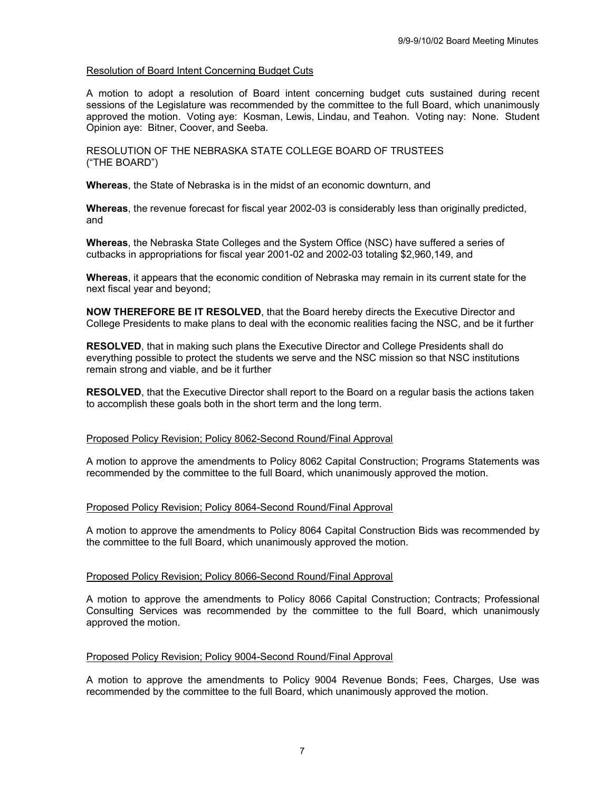### Resolution of Board Intent Concerning Budget Cuts

A motion to adopt a resolution of Board intent concerning budget cuts sustained during recent sessions of the Legislature was recommended by the committee to the full Board, which unanimously approved the motion. Voting aye: Kosman, Lewis, Lindau, and Teahon. Voting nay: None. Student Opinion aye: Bitner, Coover, and Seeba.

RESOLUTION OF THE NEBRASKA STATE COLLEGE BOARD OF TRUSTEES ("THE BOARD")

**Whereas**, the State of Nebraska is in the midst of an economic downturn, and

**Whereas**, the revenue forecast for fiscal year 2002-03 is considerably less than originally predicted, and

**Whereas**, the Nebraska State Colleges and the System Office (NSC) have suffered a series of cutbacks in appropriations for fiscal year 2001-02 and 2002-03 totaling \$2,960,149, and

**Whereas**, it appears that the economic condition of Nebraska may remain in its current state for the next fiscal year and beyond;

**NOW THEREFORE BE IT RESOLVED**, that the Board hereby directs the Executive Director and College Presidents to make plans to deal with the economic realities facing the NSC, and be it further

**RESOLVED**, that in making such plans the Executive Director and College Presidents shall do everything possible to protect the students we serve and the NSC mission so that NSC institutions remain strong and viable, and be it further

**RESOLVED**, that the Executive Director shall report to the Board on a regular basis the actions taken to accomplish these goals both in the short term and the long term.

### Proposed Policy Revision; Policy 8062-Second Round/Final Approval

A motion to approve the amendments to Policy 8062 Capital Construction; Programs Statements was recommended by the committee to the full Board, which unanimously approved the motion.

### Proposed Policy Revision; Policy 8064-Second Round/Final Approval

A motion to approve the amendments to Policy 8064 Capital Construction Bids was recommended by the committee to the full Board, which unanimously approved the motion.

#### Proposed Policy Revision; Policy 8066-Second Round/Final Approval

A motion to approve the amendments to Policy 8066 Capital Construction; Contracts; Professional Consulting Services was recommended by the committee to the full Board, which unanimously approved the motion.

### Proposed Policy Revision; Policy 9004-Second Round/Final Approval

A motion to approve the amendments to Policy 9004 Revenue Bonds; Fees, Charges, Use was recommended by the committee to the full Board, which unanimously approved the motion.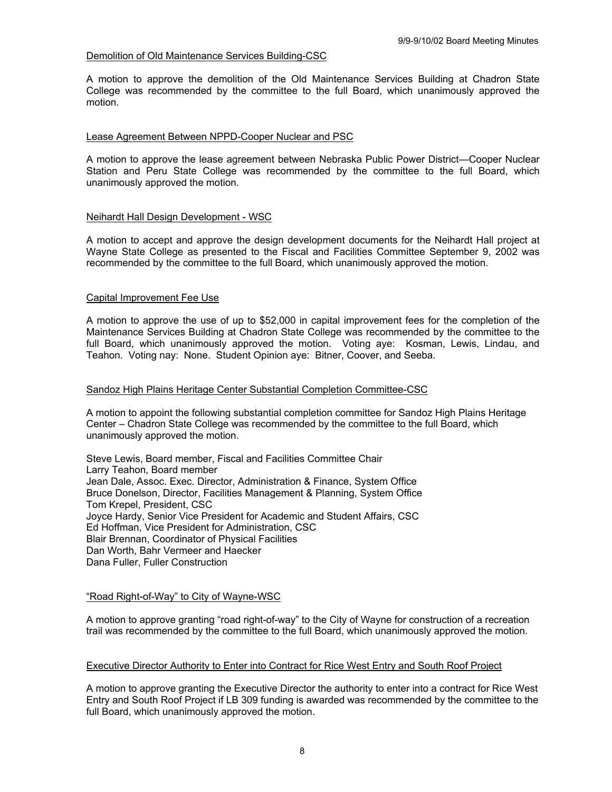### Demolition of Old Maintenance Services Building-CSC

A motion to approve the demolition of the Old Maintenance Services Building at Chadron State College was recommended by the committee to the full Board, which unanimously approved the motion.

#### Lease Agreement Between NPPD-Cooper Nuclear and PSC

A motion to approve the lease agreement between Nebraska Public Power District—Cooper Nuclear Station and Peru State College was recommended by the committee to the full Board, which unanimously approved the motion.

#### Neihardt Hall Design Development - WSC

A motion to accept and approve the design development documents for the Neihardt Hall project at Wayne State College as presented to the Fiscal and Facilities Committee September 9, 2002 was recommended by the committee to the full Board, which unanimously approved the motion.

#### Capital Improvement Fee Use

A motion to approve the use of up to \$52,000 in capital improvement fees for the completion of the Maintenance Services Building at Chadron State College was recommended by the committee to the full Board, which unanimously approved the motion. Voting aye: Kosman, Lewis, Lindau, and Teahon. Voting nay: None. Student Opinion aye: Bitner, Coover, and Seeba.

#### Sandoz High Plains Heritage Center Substantial Completion Committee-CSC

A motion to appoint the following substantial completion committee for Sandoz High Plains Heritage Center – Chadron State College was recommended by the committee to the full Board, which unanimously approved the motion.

Steve Lewis, Board member, Fiscal and Facilities Committee Chair Larry Teahon, Board member Jean Dale, Assoc. Exec. Director, Administration & Finance, System Office Bruce Donelson, Director, Facilities Management & Planning, System Office Tom Krepel, President, CSC Joyce Hardy, Senior Vice President for Academic and Student Affairs, CSC Ed Hoffman, Vice President for Administration, CSC Blair Brennan, Coordinator of Physical Facilities Dan Worth, Bahr Vermeer and Haecker Dana Fuller, Fuller Construction

### "Road Right-of-Way" to City of Wayne-WSC

A motion to approve granting "road right-of-way" to the City of Wayne for construction of a recreation trail was recommended by the committee to the full Board, which unanimously approved the motion.

#### Executive Director Authority to Enter into Contract for Rice West Entry and South Roof Project

A motion to approve granting the Executive Director the authority to enter into a contract for Rice West Entry and South Roof Project if LB 309 funding is awarded was recommended by the committee to the full Board, which unanimously approved the motion.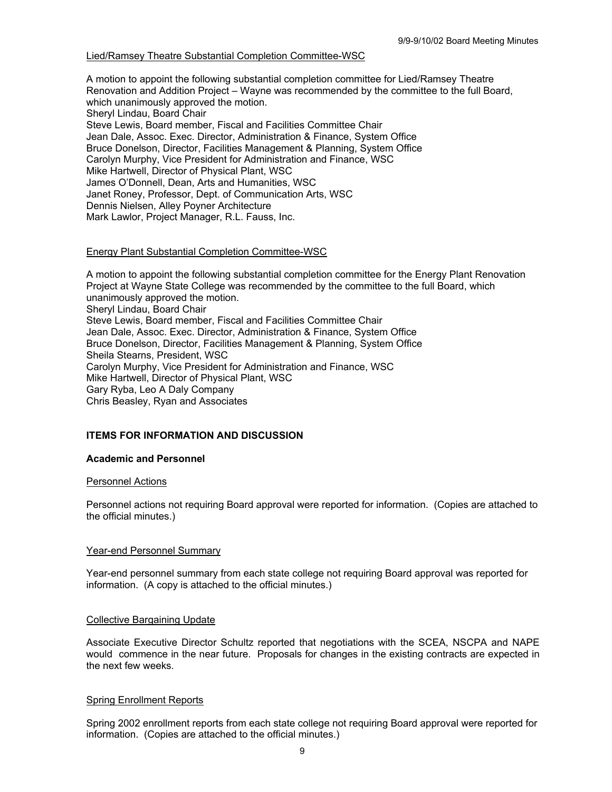### Lied/Ramsey Theatre Substantial Completion Committee-WSC

A motion to appoint the following substantial completion committee for Lied/Ramsey Theatre Renovation and Addition Project – Wayne was recommended by the committee to the full Board, which unanimously approved the motion. Sheryl Lindau, Board Chair Steve Lewis, Board member, Fiscal and Facilities Committee Chair Jean Dale, Assoc. Exec. Director, Administration & Finance, System Office Bruce Donelson, Director, Facilities Management & Planning, System Office Carolyn Murphy, Vice President for Administration and Finance, WSC Mike Hartwell, Director of Physical Plant, WSC James O'Donnell, Dean, Arts and Humanities, WSC Janet Roney, Professor, Dept. of Communication Arts, WSC Dennis Nielsen, Alley Poyner Architecture Mark Lawlor, Project Manager, R.L. Fauss, Inc.

### Energy Plant Substantial Completion Committee-WSC

A motion to appoint the following substantial completion committee for the Energy Plant Renovation Project at Wayne State College was recommended by the committee to the full Board, which unanimously approved the motion. Sheryl Lindau, Board Chair Steve Lewis, Board member, Fiscal and Facilities Committee Chair Jean Dale, Assoc. Exec. Director, Administration & Finance, System Office Bruce Donelson, Director, Facilities Management & Planning, System Office Sheila Stearns, President, WSC Carolyn Murphy, Vice President for Administration and Finance, WSC Mike Hartwell, Director of Physical Plant, WSC Gary Ryba, Leo A Daly Company Chris Beasley, Ryan and Associates

## **ITEMS FOR INFORMATION AND DISCUSSION**

### **Academic and Personnel**

### Personnel Actions

Personnel actions not requiring Board approval were reported for information. (Copies are attached to the official minutes.)

### Year-end Personnel Summary

Year-end personnel summary from each state college not requiring Board approval was reported for information. (A copy is attached to the official minutes.)

### Collective Bargaining Update

Associate Executive Director Schultz reported that negotiations with the SCEA, NSCPA and NAPE would commence in the near future. Proposals for changes in the existing contracts are expected in the next few weeks.

### Spring Enrollment Reports

Spring 2002 enrollment reports from each state college not requiring Board approval were reported for information. (Copies are attached to the official minutes.)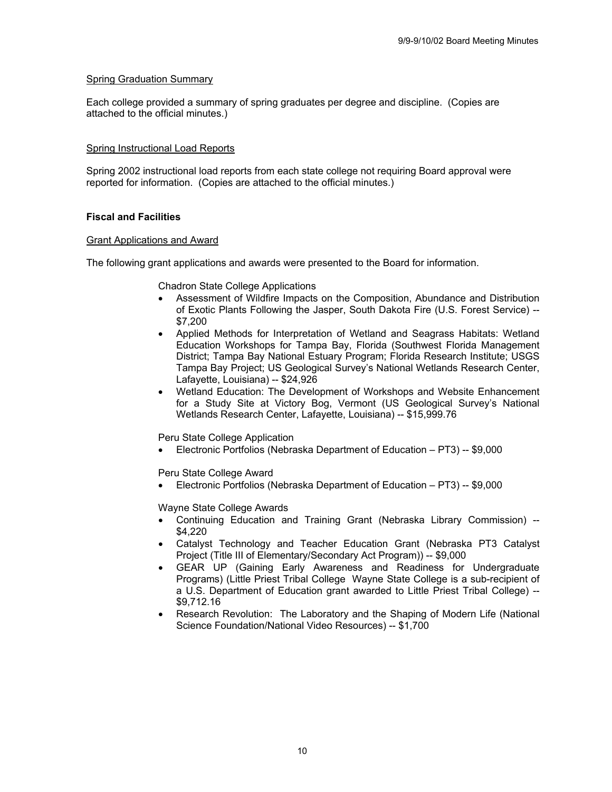### Spring Graduation Summary

Each college provided a summary of spring graduates per degree and discipline. (Copies are attached to the official minutes.)

### Spring Instructional Load Reports

Spring 2002 instructional load reports from each state college not requiring Board approval were reported for information. (Copies are attached to the official minutes.)

### **Fiscal and Facilities**

### Grant Applications and Award

The following grant applications and awards were presented to the Board for information.

Chadron State College Applications

- Assessment of Wildfire Impacts on the Composition, Abundance and Distribution of Exotic Plants Following the Jasper, South Dakota Fire (U.S. Forest Service) -- \$7,200
- Applied Methods for Interpretation of Wetland and Seagrass Habitats: Wetland Education Workshops for Tampa Bay, Florida (Southwest Florida Management District; Tampa Bay National Estuary Program; Florida Research Institute; USGS Tampa Bay Project; US Geological Survey's National Wetlands Research Center, Lafayette, Louisiana) -- \$24,926
- Wetland Education: The Development of Workshops and Website Enhancement for a Study Site at Victory Bog, Vermont (US Geological Survey's National Wetlands Research Center, Lafayette, Louisiana) -- \$15,999.76

Peru State College Application

• Electronic Portfolios (Nebraska Department of Education – PT3) -- \$9,000

Peru State College Award

• Electronic Portfolios (Nebraska Department of Education – PT3) -- \$9,000

Wayne State College Awards

- Continuing Education and Training Grant (Nebraska Library Commission) -- \$4,220
- Catalyst Technology and Teacher Education Grant (Nebraska PT3 Catalyst Project (Title III of Elementary/Secondary Act Program)) -- \$9,000
- GEAR UP (Gaining Early Awareness and Readiness for Undergraduate Programs) (Little Priest Tribal College Wayne State College is a sub-recipient of a U.S. Department of Education grant awarded to Little Priest Tribal College) -- \$9,712.16
- Research Revolution: The Laboratory and the Shaping of Modern Life (National Science Foundation/National Video Resources) -- \$1,700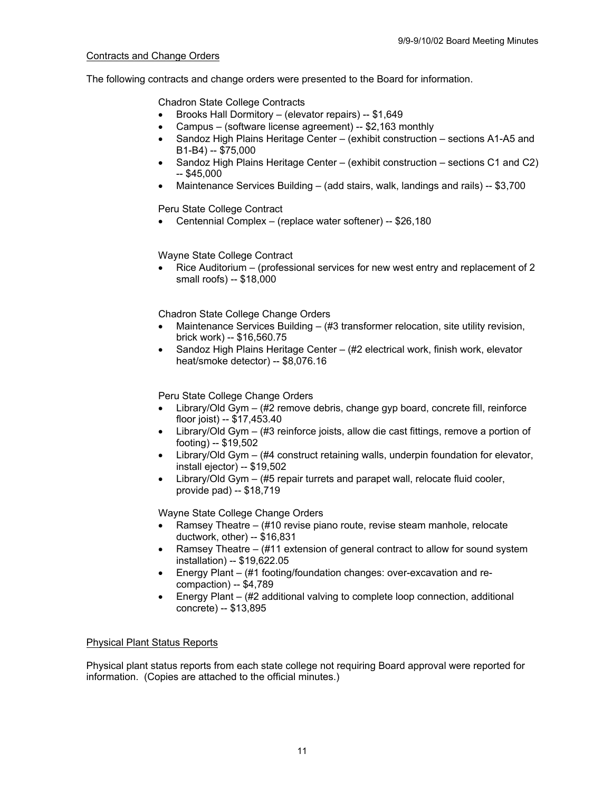### Contracts and Change Orders

The following contracts and change orders were presented to the Board for information.

Chadron State College Contracts

- Brooks Hall Dormitory (elevator repairs) -- \$1,649
- Campus (software license agreement) -- \$2,163 monthly
- Sandoz High Plains Heritage Center (exhibit construction sections A1-A5 and B1-B4) -- \$75,000
- Sandoz High Plains Heritage Center (exhibit construction sections C1 and C2)  $-$  \$45,000
- Maintenance Services Building (add stairs, walk, landings and rails) -- \$3,700

Peru State College Contract

• Centennial Complex – (replace water softener) -- \$26,180

Wayne State College Contract

• Rice Auditorium – (professional services for new west entry and replacement of 2 small roofs) -- \$18,000

Chadron State College Change Orders

- Maintenance Services Building (#3 transformer relocation, site utility revision, brick work) -- \$16,560.75
- Sandoz High Plains Heritage Center (#2 electrical work, finish work, elevator heat/smoke detector) -- \$8,076.16

Peru State College Change Orders

- Library/Old Gym (#2 remove debris, change gyp board, concrete fill, reinforce floor joist) -- \$17,453.40
- Library/Old Gym (#3 reinforce joists, allow die cast fittings, remove a portion of footing) -- \$19,502
- Library/Old Gym (#4 construct retaining walls, underpin foundation for elevator, install ejector) -- \$19,502
- Library/Old Gym (#5 repair turrets and parapet wall, relocate fluid cooler, provide pad) -- \$18,719

Wayne State College Change Orders

- Ramsey Theatre (#10 revise piano route, revise steam manhole, relocate ductwork, other) -- \$16,831
- Ramsey Theatre (#11 extension of general contract to allow for sound system installation) -- \$19,622.05
- Energy Plant (#1 footing/foundation changes: over-excavation and recompaction) -- \$4,789
- Energy Plant (#2 additional valving to complete loop connection, additional concrete) -- \$13,895

## Physical Plant Status Reports

Physical plant status reports from each state college not requiring Board approval were reported for information. (Copies are attached to the official minutes.)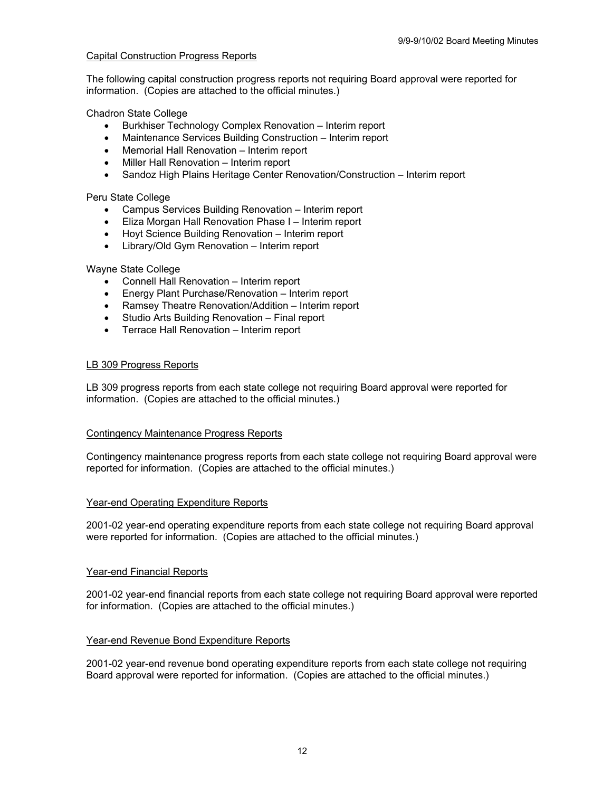### Capital Construction Progress Reports

The following capital construction progress reports not requiring Board approval were reported for information. (Copies are attached to the official minutes.)

Chadron State College

- Burkhiser Technology Complex Renovation Interim report
- Maintenance Services Building Construction Interim report
- Memorial Hall Renovation Interim report
- Miller Hall Renovation Interim report
- Sandoz High Plains Heritage Center Renovation/Construction Interim report

Peru State College

- Campus Services Building Renovation Interim report
- Eliza Morgan Hall Renovation Phase I Interim report
- Hoyt Science Building Renovation Interim report
- Library/Old Gym Renovation Interim report

### Wayne State College

- Connell Hall Renovation Interim report
- Energy Plant Purchase/Renovation Interim report
- Ramsey Theatre Renovation/Addition Interim report
- Studio Arts Building Renovation Final report
- Terrace Hall Renovation Interim report

### LB 309 Progress Reports

LB 309 progress reports from each state college not requiring Board approval were reported for information. (Copies are attached to the official minutes.)

### Contingency Maintenance Progress Reports

Contingency maintenance progress reports from each state college not requiring Board approval were reported for information. (Copies are attached to the official minutes.)

### Year-end Operating Expenditure Reports

2001-02 year-end operating expenditure reports from each state college not requiring Board approval were reported for information. (Copies are attached to the official minutes.)

### Year-end Financial Reports

2001-02 year-end financial reports from each state college not requiring Board approval were reported for information. (Copies are attached to the official minutes.)

### Year-end Revenue Bond Expenditure Reports

2001-02 year-end revenue bond operating expenditure reports from each state college not requiring Board approval were reported for information. (Copies are attached to the official minutes.)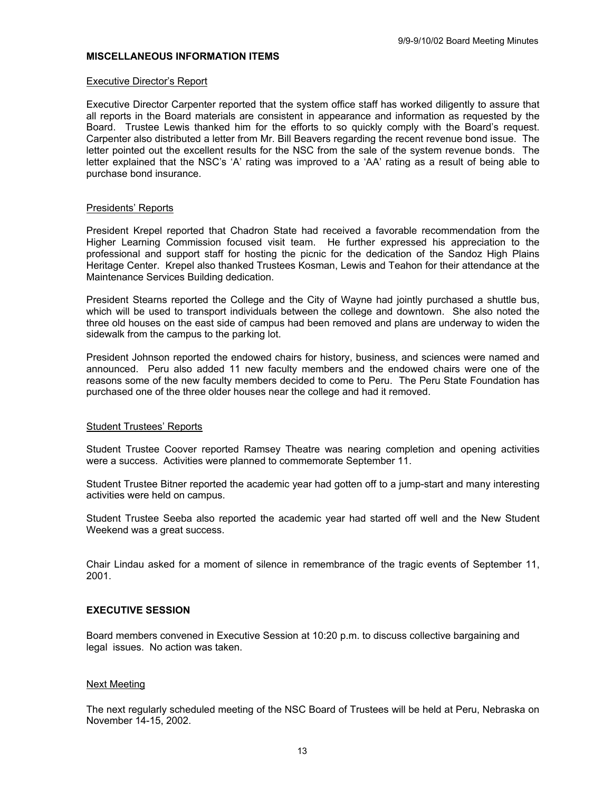#### **MISCELLANEOUS INFORMATION ITEMS**

#### Executive Director's Report

Executive Director Carpenter reported that the system office staff has worked diligently to assure that all reports in the Board materials are consistent in appearance and information as requested by the Board. Trustee Lewis thanked him for the efforts to so quickly comply with the Board's request. Carpenter also distributed a letter from Mr. Bill Beavers regarding the recent revenue bond issue. The letter pointed out the excellent results for the NSC from the sale of the system revenue bonds. The letter explained that the NSC's 'A' rating was improved to a 'AA' rating as a result of being able to purchase bond insurance.

#### Presidents' Reports

President Krepel reported that Chadron State had received a favorable recommendation from the Higher Learning Commission focused visit team. He further expressed his appreciation to the professional and support staff for hosting the picnic for the dedication of the Sandoz High Plains Heritage Center. Krepel also thanked Trustees Kosman, Lewis and Teahon for their attendance at the Maintenance Services Building dedication.

President Stearns reported the College and the City of Wayne had jointly purchased a shuttle bus, which will be used to transport individuals between the college and downtown. She also noted the three old houses on the east side of campus had been removed and plans are underway to widen the sidewalk from the campus to the parking lot.

President Johnson reported the endowed chairs for history, business, and sciences were named and announced. Peru also added 11 new faculty members and the endowed chairs were one of the reasons some of the new faculty members decided to come to Peru. The Peru State Foundation has purchased one of the three older houses near the college and had it removed.

### Student Trustees' Reports

Student Trustee Coover reported Ramsey Theatre was nearing completion and opening activities were a success. Activities were planned to commemorate September 11.

Student Trustee Bitner reported the academic year had gotten off to a jump-start and many interesting activities were held on campus.

Student Trustee Seeba also reported the academic year had started off well and the New Student Weekend was a great success.

Chair Lindau asked for a moment of silence in remembrance of the tragic events of September 11, 2001.

### **EXECUTIVE SESSION**

Board members convened in Executive Session at 10:20 p.m. to discuss collective bargaining and legal issues. No action was taken.

#### Next Meeting

The next regularly scheduled meeting of the NSC Board of Trustees will be held at Peru, Nebraska on November 14-15, 2002.